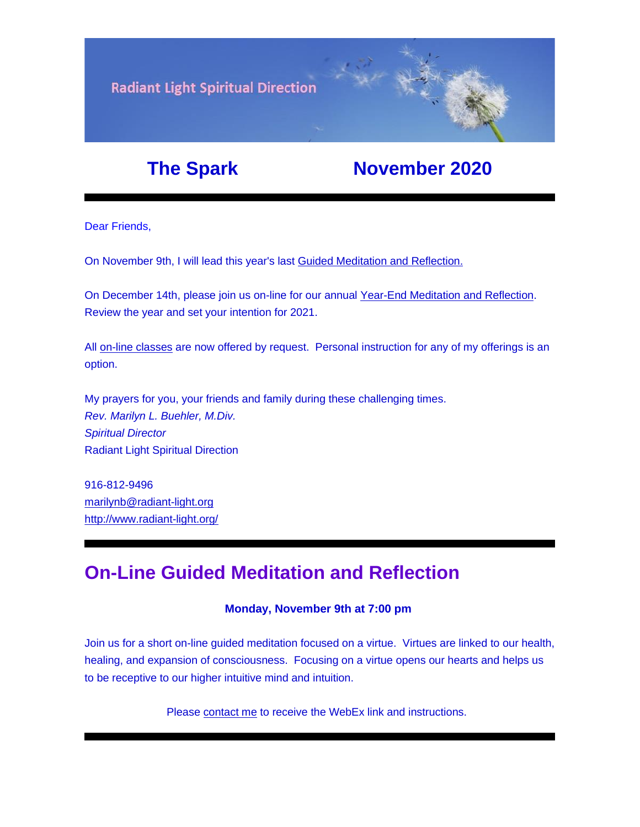

## **The Spark Movember 2020**

Dear Friends,

On November 9th, I will lead this year's last [Guided Meditation and Reflection.](https://u18544456.ct.sendgrid.net/ls/click?upn=YO6TcuTs2Xz6NlJVKcEQZiklIDFGo-2FRGaP7ZnccBbQD-2F5nLWTzJmSJc11SHLkwTWw3mPoSMkIgk89sNojM3mjcl2mDNdB7fk5xqxV4W92SY-3Dqx6n_FiQrYGg1YZElR924caalGEP3AHGeF79ulf5jxC9Fbcd8IfoR4p2-2FW0xZvJaX6Y3z75H0Yw3uGmHJTH3azVPJ5HTXrZ-2Ft5OVM5Vv31JFvUf3sl-2Bt2VvZL3mo9-2FDK3jGCpiS9rP21ljXJu5qlv9qCK19IiQGA4m-2FUUGH66ogonfER9rokIXi5NcYA3XIQMlFs-2BRNx8QqWY3dwGnRW-2F8B3CGlvGz3C2d3IHNYpMs1mODngcSEHdqoIba6wSOW3ds-2BLpNO338oZhfOBOdPLOogm6IGbjvTb3DrkAyibdH-2B1HEdnlntmaT-2FIY53ioNL4zP0SjbKBW9j3PqewECSd1Jj-2FWo22xYYNBEhpvroQ0C9jMH1hRjWjqq60wd9piHUcZkUCRlfRmGwYr8iNIgSsYw2SiGoBxsnzQeKq10cI6Vs8hj1lyNFifAwRwPtu4JL1IMHTqWZfoNSJj5XX7xY58xB6KWTWw6dgY1PoLqLmutpKuQHSscHtkU6A-2FFQQFq0XeW-2FDfigj-2FeU7HHE9sBhBQDxf0a7tB7F-2Bd4T09AiZaRHTYUz0atA-2BBJ8qTRuC1-2FyBbWndBVjMBwwFjCsCV79hs-2ByPPIgOHlms9PoBd03o6Q91pAa-2BlKhygk6Fnex0zl4gIiUXjHtBqzx4pGBoCx4eZ8326MBWVl7tUoFrqng3P4RlmQOn9v08mD-2F9-2Bv5BC07yOCYPgqMvGv5ImDlxNa8EY-2BHvqlB8K5kztMbPFhjhVlaYJ98BVqJtVTkT7Q4dGzikSPvSNeczxTM1Xqmb7gMNd2wQrDp10BXYpvFc45iz7f2FUpnk5fZBhzenZLx23ihL9fIPiXA9UdCvSR11TeNAgli094PSoKplusORnBYTJXPDdTisnyRmtG-2Bn9gpUtuE-2BhIkyM)

On December 14th, please join us on-line for our annual [Year-End Meditation and Reflection.](https://u18544456.ct.sendgrid.net/ls/click?upn=YO6TcuTs2Xz6NlJVKcEQZiklIDFGo-2FRGaP7ZnccBbQCzADChL1MeDUg0eIv3d-2BhHhPis-2BLE03cEOzJb6QuL0cg-3D-3De2ML_FiQrYGg1YZElR924caalGEP3AHGeF79ulf5jxC9Fbcd8IfoR4p2-2FW0xZvJaX6Y3z75H0Yw3uGmHJTH3azVPJ5HTXrZ-2Ft5OVM5Vv31JFvUf3sl-2Bt2VvZL3mo9-2FDK3jGCpiS9rP21ljXJu5qlv9qCK19IiQGA4m-2FUUGH66ogonfER9rokIXi5NcYA3XIQMlFs-2BRNx8QqWY3dwGnRW-2F8B3CGlvGz3C2d3IHNYpMs1mODngcSEHdqoIba6wSOW3ds-2BLpNO338oZhfOBOdPLOogm6IGbjvTb3DrkAyibdH-2B1HEdnlntmaT-2FIY53ioNL4zP0SjbKBW9j3PqewECSd1Jj-2FWo22xYYNBEhpvroQ0C9jMH1hRjWjqq60wd9piHUcZkUCRlfRmGwYr8iNIgSsYw2SiGoBxsnzQeKq10cI6Vs8hj1lyNFifAwRwPtu4JL1IMHTqWZfoNSJj5XX7xY58xB6KWTWw6dgY1PoLqLmutpKuQHSscHtkU6A-2FFQQFq0XeW-2FDfigj-2FeU7HHE9sBhBQDxf0a7tB7F-2Bd4T09AiZaRHTYUz0atA-2BBJ8qTRuC1-2FyBbWndBVjMBwwFjCsCV79hs-2ByPPIgOHlms9PoBd03o6Q91pAa-2BlKhygk6Fnex0zl4gIiUXjHtBqzx4pGBoCx4eZ8326MBWVl7tUoFrqng3P4RlmQOn9v08mD-2F9-2Bv5BC07yOCYPgqMvGv5ImDlxNa8EY-2BHvqlB8K5kztMbPFhjhVlaYJ98AdN4KnNvHTHsmOOy-2BgEdYaDlRHhFIju5z48xAOg-2FThUzCEXxJPB6W0EMUb7kD55TRgxKmta1kaKiZEv6wiMr37ZCYElkk3rzrzpAXkMdFmKm6S-2Fz3zNe1ctHFi4cme3Ik2jjVDyEm7Uj6GCOIBDoLD) Review the year and set your intention for 2021.

All [on-line classes](https://u18544456.ct.sendgrid.net/ls/click?upn=YO6TcuTs2Xz6NlJVKcEQZiklIDFGo-2FRGaP7ZnccBbQDLOGMDhN2L94NJMu04rPoU2Slw_FiQrYGg1YZElR924caalGEP3AHGeF79ulf5jxC9Fbcd8IfoR4p2-2FW0xZvJaX6Y3z75H0Yw3uGmHJTH3azVPJ5HTXrZ-2Ft5OVM5Vv31JFvUf3sl-2Bt2VvZL3mo9-2FDK3jGCpiS9rP21ljXJu5qlv9qCK19IiQGA4m-2FUUGH66ogonfER9rokIXi5NcYA3XIQMlFs-2BRNx8QqWY3dwGnRW-2F8B3CGlvGz3C2d3IHNYpMs1mODngcSEHdqoIba6wSOW3ds-2BLpNO338oZhfOBOdPLOogm6IGbjvTb3DrkAyibdH-2B1HEdnlntmaT-2FIY53ioNL4zP0SjbKBW9j3PqewECSd1Jj-2FWo22xYYNBEhpvroQ0C9jMH1hRjWjqq60wd9piHUcZkUCRlfRmGwYr8iNIgSsYw2SiGoBxsnzQeKq10cI6Vs8hj1lyNFifAwRwPtu4JL1IMHTqWZfoNSJj5XX7xY58xB6KWTWw6dgY1PoLqLmutpKuQHSscHtkU6A-2FFQQFq0XeW-2FDfigj-2FeU7HHE9sBhBQDxf0a7tB7F-2Bd4T09AiZaRHTYUz0atA-2BBJ8qTRuC1-2FyBbWndBVjMBwwFjCsCV79hs-2ByPPIgOHlms9PoBd03o6Q91pAa-2BlKhygk6Fnex0zl4gIiUXjHtBqzx4pGBoCx4eZ8326MBWVl7tUoFrqng3P4RlmQOn9v08mD-2F9-2Bv5BC07yOCYPgqMvGv5ImDlxNa8EY-2BHvqlB8K5kztMbPFhjhVlaYJ98DwNkcUd3CMU0SdHeMUQLVhvyc2v9Dn-2BpvjLGqJ7I4HYTpysYgy9gGlXOTfdRi4kHOye2iP7wU-2BXDYWwDPvYVxQY0yNFXmeVy17mocRGu3OwgQANuaHBJjI5ljs4iDNCzt69wwzvAxbY53k9k2QuQzP) are now offered by request. Personal instruction for any of my offerings is an option.

My prayers for you, your friends and family during these challenging times. *Rev. Marilyn L. Buehler, M.Div. Spiritual Director* Radiant Light Spiritual Direction

916-812-9496 [marilynb@radiant-light.org](mailto:marilynb@radiant-light.org) [http://www.radiant-light.org/](https://u18544456.ct.sendgrid.net/ls/click?upn=R-2Bl7NGDLiuME3v4KUDXT9h2qnOPi-2Bv0NUDPOAvqgwbSGaV-2BAb3Xm4aVOKtH6HhU9m-2FTXOQwSXWi82XNXQXmW0Ybjzw6tS-2BT4DLdUHTzXugFWK15x1FY1bK6oAs60zDHauU9G_FiQrYGg1YZElR924caalGEP3AHGeF79ulf5jxC9Fbcd8IfoR4p2-2FW0xZvJaX6Y3z75H0Yw3uGmHJTH3azVPJ5HTXrZ-2Ft5OVM5Vv31JFvUf3sl-2Bt2VvZL3mo9-2FDK3jGCpiS9rP21ljXJu5qlv9qCK19IiQGA4m-2FUUGH66ogonfER9rokIXi5NcYA3XIQMlFs-2BRNx8QqWY3dwGnRW-2F8B3CGlvGz3C2d3IHNYpMs1mODngcSEHdqoIba6wSOW3ds-2BLpNO338oZhfOBOdPLOogm6IGbjvTb3DrkAyibdH-2B1HEdnlntmaT-2FIY53ioNL4zP0SjbKBW9j3PqewECSd1Jj-2FWo22xYYNBEhpvroQ0C9jMH1hRjWjqq60wd9piHUcZkUCRlfRmGwYr8iNIgSsYw2SiGoBxsnzQeKq10cI6Vs8hj1lyNFifAwRwPtu4JL1IMHTqWZfoNSJj5XX7xY58xB6KWTWw6dgY1PoLqLmutpKuQHSscHtkU6A-2FFQQFq0XeW-2FDfigj-2FeU7HHE9sBhBQDxf0a7tB7F-2Bd4T09AiZaRHTYUz0atA-2BBJ8qTRuC1-2FyBbWndBVjMBwwFjCsCV79hs-2ByPPIgOHlms9PoBd03o6Q91pAa-2BlKhygk6Fnex0zl4gIiUXjHtBqzx4pGBoCx4eZ8326MBWVl7tUoFrqng3P4RlmQOn9v08mD-2F9-2Bv5BC07yOCYPgqMvGv5ImDlxNa8EY-2BHvqlB8K5kztMbPFhjhVlaYJ98BGqyVPSLKe2QXza-2Fh4iKD9ZCOz27sMbY9YVMyDXqirx5kJCsWmVKPG10w8ucfdXbcMCXx2wTl8HeWQEPTdYR1-2BFZsJfixh8GQfInA-2FtsK0YLC8udYLcvBTO24LPlDoHOyKv5kkRpGUqK5jQtHK8wNP)

## **On-Line Guided Meditation and Reflection**

#### **Monday, November 9th at 7:00 pm**

Join us for a short on-line guided meditation focused on a virtue. Virtues are linked to our health, healing, and expansion of consciousness. Focusing on a virtue opens our hearts and helps us to be receptive to our higher intuitive mind and intuition.

Please [contact me](https://u18544456.ct.sendgrid.net/ls/click?upn=R-2Bl7NGDLiuME3v4KUDXT9h2qnOPi-2Bv0NUDPOAvqgwbSGaV-2BAb3Xm4aVOKtH6HhU9m-2FTXOQwSXWi82XNXQXmW0TeTtZ6vr6yUMbwGvzZnWPbVSkSjSMHWxvqYdohdT2g7cjJN_FiQrYGg1YZElR924caalGEP3AHGeF79ulf5jxC9Fbcd8IfoR4p2-2FW0xZvJaX6Y3z75H0Yw3uGmHJTH3azVPJ5HTXrZ-2Ft5OVM5Vv31JFvUf3sl-2Bt2VvZL3mo9-2FDK3jGCpiS9rP21ljXJu5qlv9qCK19IiQGA4m-2FUUGH66ogonfER9rokIXi5NcYA3XIQMlFs-2BRNx8QqWY3dwGnRW-2F8B3CGlvGz3C2d3IHNYpMs1mODngcSEHdqoIba6wSOW3ds-2BLpNO338oZhfOBOdPLOogm6IGbjvTb3DrkAyibdH-2B1HEdnlntmaT-2FIY53ioNL4zP0SjbKBW9j3PqewECSd1Jj-2FWo22xYYNBEhpvroQ0C9jMH1hRjWjqq60wd9piHUcZkUCRlfRmGwYr8iNIgSsYw2SiGoBxsnzQeKq10cI6Vs8hj1lyNFifAwRwPtu4JL1IMHTqWZfoNSJj5XX7xY58xB6KWTWw6dgY1PoLqLmutpKuQHSscHtkU6A-2FFQQFq0XeW-2FDfigj-2FeU7HHE9sBhBQDxf0a7tB7F-2Bd4T09AiZaRHTYUz0atA-2BBJ8qTRuC1-2FyBbWndBVjMBwwFjCsCV79hs-2ByPPIgOHlms9PoBd03o6Q91pAa-2BlKhygk6Fnex0zl4gIiUXjHtBqzx4pGBoCx4eZ8326MBWVl7tUoFrqng3P4RlmQOn9v08mD-2F9-2Bv5BC07yOCYPgqMvGv5ImDlxNa8EY-2BHvqlB8K5kztMbPFhjhVlaYJ98DTbzy-2BslBV-2BFYeWvyjYR3swJ01Rt6OLcqF8lDDDKbQPqYnXTvK4-2Bxo-2FH7VJN-2FywImMv5cuq04QFMwHV0JQ0m7dgCLzE2lf3dIeEiANNDd5FtHsyQanlJkMKxrrRa146nY8HSlzZUPlRw3rpHNveR9B) to receive the WebEx link and instructions.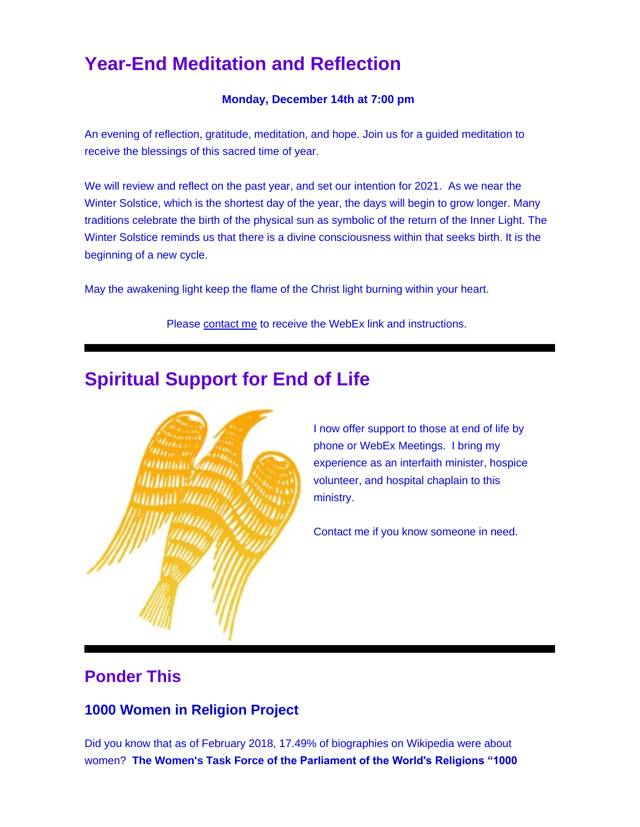# **Year-End Meditation and Reflection**

#### **Monday, December 14th at 7:00 pm**

An evening of reflection, gratitude, meditation, and hope. Join us for a guided meditation to receive the blessings of this sacred time of year.

We will review and reflect on the past year, and set our intention for 2021. As we near the Winter Solstice, which is the shortest day of the year, the days will begin to grow longer. Many traditions celebrate the birth of the physical sun as symbolic of the return of the Inner Light. The Winter Solstice reminds us that there is a divine consciousness within that seeks birth. It is the beginning of a new cycle.

May the awakening light keep the flame of the Christ light burning within your heart.

Please [contact me](https://u18544456.ct.sendgrid.net/ls/click?upn=R-2Bl7NGDLiuME3v4KUDXT9h2qnOPi-2Bv0NUDPOAvqgwbSGaV-2BAb3Xm4aVOKtH6HhU9m-2FTXOQwSXWi82XNXQXmW0TeTtZ6vr6yUMbwGvzZnWPbVSkSjSMHWxvqYdohdT2g75DyE_FiQrYGg1YZElR924caalGEP3AHGeF79ulf5jxC9Fbcd8IfoR4p2-2FW0xZvJaX6Y3z75H0Yw3uGmHJTH3azVPJ5HTXrZ-2Ft5OVM5Vv31JFvUf3sl-2Bt2VvZL3mo9-2FDK3jGCpiS9rP21ljXJu5qlv9qCK19IiQGA4m-2FUUGH66ogonfER9rokIXi5NcYA3XIQMlFs-2BRNx8QqWY3dwGnRW-2F8B3CGlvGz3C2d3IHNYpMs1mODngcSEHdqoIba6wSOW3ds-2BLpNO338oZhfOBOdPLOogm6IGbjvTb3DrkAyibdH-2B1HEdnlntmaT-2FIY53ioNL4zP0SjbKBW9j3PqewECSd1Jj-2FWo22xYYNBEhpvroQ0C9jMH1hRjWjqq60wd9piHUcZkUCRlfRmGwYr8iNIgSsYw2SiGoBxsnzQeKq10cI6Vs8hj1lyNFifAwRwPtu4JL1IMHTqWZfoNSJj5XX7xY58xB6KWTWw6dgY1PoLqLmutpKuQHSscHtkU6A-2FFQQFq0XeW-2FDfigj-2FeU7HHE9sBhBQDxf0a7tB7F-2Bd4T09AiZaRHTYUz0atA-2BBJ8qTRuC1-2FyBbWndBVjMBwwFjCsCV79hs-2ByPPIgOHlms9PoBd03o6Q91pAa-2BlKhygk6Fnex0zl4gIiUXjHtBqzx4pGBoCx4eZ8326MBWVl7tUoFrqng3P4RlmQOn9v08mD-2F9-2Bv5BC07yOCYPgqMvGv5ImDlxNa8EY-2BHvqlB8K5kztMbPFhjhVlaYJ98CJ7mNby-2Bmk8TUEuqBzP40LiC6CthdJiiLfwblA1ucL-2F3Klg5cGWyiuVkU7F2hs2Wdq4w2LZ0gVZCmwhJfScfF-2BQae94B2-2FvGBtHrkYzn9tH29fr1-2BDEvHhopPhKR-2FSPoNF0Ck28YaaeusBdktHUkY5) to receive the WebEx link and instructions.

# **Spiritual Support for End of Life**



I now offer support to those at end of life by phone or WebEx Meetings. I bring my experience as an interfaith minister, hospice volunteer, and hospital chaplain to this ministry.

Contact me if you know someone in need.

### **Ponder This**

#### **1000 Women in Religion Project**

Did you know that as of February 2018, 17.49% of biographies on Wikipedia were about women? **[The Women's Task Force of the Parliament of the World's Religions "1000](https://u18544456.ct.sendgrid.net/ls/click?upn=R-2Bl7NGDLiuME3v4KUDXT9r1vZG37bpWQIiPa-2BlmvRx93cc-2FVPxVeBTfRCv9z6gne-2BXI72v2zd02t-2B9spGa-2FdIvqphrQ5qtZGe39JbezkVjNavOw22WoILrqa-2Bz9zuMdC6-2F8kuVqnICtD6hWABWpIIg-3D-3DcL8Y_FiQrYGg1YZElR924caalGEP3AHGeF79ulf5jxC9Fbcd8IfoR4p2-2FW0xZvJaX6Y3z75H0Yw3uGmHJTH3azVPJ5HTXrZ-2Ft5OVM5Vv31JFvUf3sl-2Bt2VvZL3mo9-2FDK3jGCpiS9rP21ljXJu5qlv9qCK19IiQGA4m-2FUUGH66ogonfER9rokIXi5NcYA3XIQMlFs-2BRNx8QqWY3dwGnRW-2F8B3CGlvGz3C2d3IHNYpMs1mODngcSEHdqoIba6wSOW3ds-2BLpNO338oZhfOBOdPLOogm6IGbjvTb3DrkAyibdH-2B1HEdnlntmaT-2FIY53ioNL4zP0SjbKBW9j3PqewECSd1Jj-2FWo22xYYNBEhpvroQ0C9jMH1hRjWjqq60wd9piHUcZkUCRlfRmGwYr8iNIgSsYw2SiGoBxsnzQeKq10cI6Vs8hj1lyNFifAwRwPtu4JL1IMHTqWZfoNSJj5XX7xY58xB6KWTWw6dgY1PoLqLmutpKuQHSscHtkU6A-2FFQQFq0XeW-2FDfigj-2FeU7HHE9sBhBQDxf0a7tB7F-2Bd4T09AiZaRHTYUz0atA-2BBJ8qTRuC1-2FyBbWndBVjMBwwFjCsCV79hs-2ByPPIgOHlms9PoBd03o6Q91pAa-2BlKhygk6Fnex0zl4gIiUXjHtBqzx4pGBoCx4eZ8326MBWVl7tUoFrqng3P4RlmQOn9v08mD-2F9-2Bv5BC07yOCYPgqMvGv5ImDlxNa8EY-2BHvqlB8K5kztMbPFhjhVlaYJ98Bfp2vKF1ALVDOASjaSmVzx48DppvYA1rnti4NI3HoLl8Od2CzLvMh0Jv4biBzLQUTlAcb28DtwSdDoebAZip2O-2B0FNKYGcqKmePBtaSkS0Yr7GdtwpBU7R8T5yBXBiGyO2ufq6uxMHPvalm01yTtiC)**